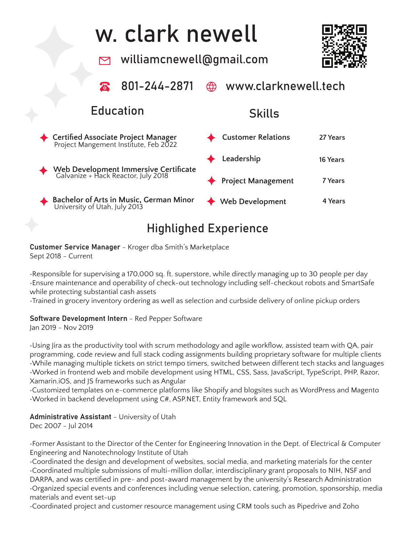### w. clark newell williamcnewell@gmail.com www.clarknewell.tech 801-244-2871 Education Skills **Certified Associate Project Manager Customer Relations 27 Years** Project Mangement Institute, Feb 2022 **Leadership 16 Years Web Development Immersive Certificate** Galvanize + Hack Reactor, July 2018 **7 Years Project Management Bachelor of Arts in Music, German Minor Web Development 4 Years** University of Utah, July 2013

# Highlighed Experience

Customer Service Manager - Kroger dba Smith's Marketplace Sept 2018 - Current

•Responsible for supervising a 170,000 sq. ft. superstore, while directly managing up to 30 people per day •Ensure maintenance and operability of check-out technology including self-checkout robots and SmartSafe while protecting substantial cash assets

•Trained in grocery inventory ordering as well as selection and curbside delivery of online pickup orders

### Software Development Intern - Red Pepper Software

Jan 2019 - Nov 2019

•Using Jira as the productivity tool with scrum methodology and agile workflow, assisted team with QA, pair programming, code review and full stack coding assignments building proprietary software for multiple clients •While managing multiple tickets on strict tempo timers, switched between different tech stacks and languages •Worked in frontend web and mobile development using HTML, CSS, Sass, JavaScript, TypeScript, PHP, Razor, Xamarin.iOS, and JS frameworks such as Angular

•Customized templates on e-commerce platforms like Shopify and blogsites such as WordPress and Magento •Worked in backend development using C#, ASP.NET, Entity framework and SQL

### Administrative Assistant - University of Utah

Dec 2007 - Jul 2014

•Former Assistant to the Director of the Center for Engineering Innovation in the Dept. of Electrical & Computer Engineering and Nanotechnology Institute of Utah

•Coordinated the design and development of websites, social media, and marketing materials for the center •Coordinated multiple submissions of multi-million dollar, interdisciplinary grant proposals to NIH, NSF and DARPA, and was certified in pre- and post-award management by the university's Research Administration •Organized special events and conferences including venue selection, catering, promotion, sponsorship, media materials and event set-up

•Coordinated project and customer resource management using CRM tools such as Pipedrive and Zoho